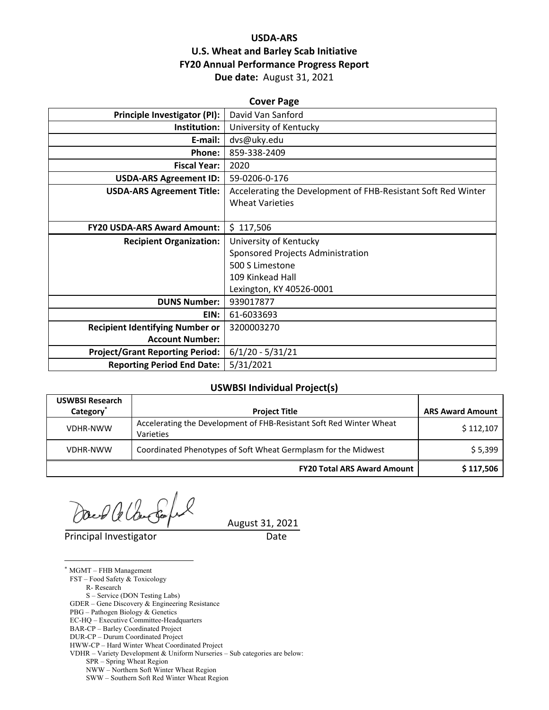#### **USDA‐ARS U.S. Wheat and Barley Scab Initiative FY20 Annual Performance Progress Report Due date:** August 31, 2021

| <b>Cover Page</b>                      |                                                               |  |  |
|----------------------------------------|---------------------------------------------------------------|--|--|
| <b>Principle Investigator (PI):</b>    | David Van Sanford                                             |  |  |
| Institution:                           | University of Kentucky                                        |  |  |
| E-mail:                                | dvs@uky.edu                                                   |  |  |
| Phone:                                 | 859-338-2409                                                  |  |  |
| <b>Fiscal Year:</b>                    | 2020                                                          |  |  |
| <b>USDA-ARS Agreement ID:</b>          | 59-0206-0-176                                                 |  |  |
| <b>USDA-ARS Agreement Title:</b>       | Accelerating the Development of FHB-Resistant Soft Red Winter |  |  |
|                                        | <b>Wheat Varieties</b>                                        |  |  |
|                                        |                                                               |  |  |
| <b>FY20 USDA-ARS Award Amount:</b>     | \$117,506                                                     |  |  |
| <b>Recipient Organization:</b>         | University of Kentucky                                        |  |  |
|                                        | Sponsored Projects Administration                             |  |  |
|                                        | 500 S Limestone                                               |  |  |
|                                        | 109 Kinkead Hall                                              |  |  |
|                                        | Lexington, KY 40526-0001                                      |  |  |
| <b>DUNS Number:</b>                    | 939017877                                                     |  |  |
| EIN:                                   | 61-6033693                                                    |  |  |
| <b>Recipient Identifying Number or</b> | 3200003270                                                    |  |  |
| <b>Account Number:</b>                 |                                                               |  |  |
| <b>Project/Grant Reporting Period:</b> | $6/1/20 - 5/31/21$                                            |  |  |
| <b>Reporting Period End Date:</b>      | 5/31/2021                                                     |  |  |

#### **USWBSI Individual Project(s)**

| <b>USWBSI Research</b> |                                                                                  |                         |
|------------------------|----------------------------------------------------------------------------------|-------------------------|
| Category <sup>*</sup>  | <b>Project Title</b>                                                             | <b>ARS Award Amount</b> |
| <b>VDHR-NWW</b>        | Accelerating the Development of FHB-Resistant Soft Red Winter Wheat<br>Varieties | \$112,107               |
| <b>VDHR-NWW</b>        | Coordinated Phenotypes of Soft Wheat Germplasm for the Midwest                   | \$5,399                 |
|                        | <b>FY20 Total ARS Award Amount  </b>                                             | \$117,506               |

August 31, 2021

Principal Investigator **Date** 

 $\overline{a}$ 

\* MGMT – FHB Management FST – Food Safety & Toxicology R- Research S – Service (DON Testing Labs) GDER – Gene Discovery & Engineering Resistance PBG – Pathogen Biology & Genetics EC-HQ – Executive Committee-Headquarters BAR-CP – Barley Coordinated Project DUR-CP – Durum Coordinated Project HWW-CP – Hard Winter Wheat Coordinated Project VDHR – Variety Development & Uniform Nurseries – Sub categories are below: SPR – Spring Wheat Region NWW – Northern Soft Winter Wheat Region

SWW – Southern Soft Red Winter Wheat Region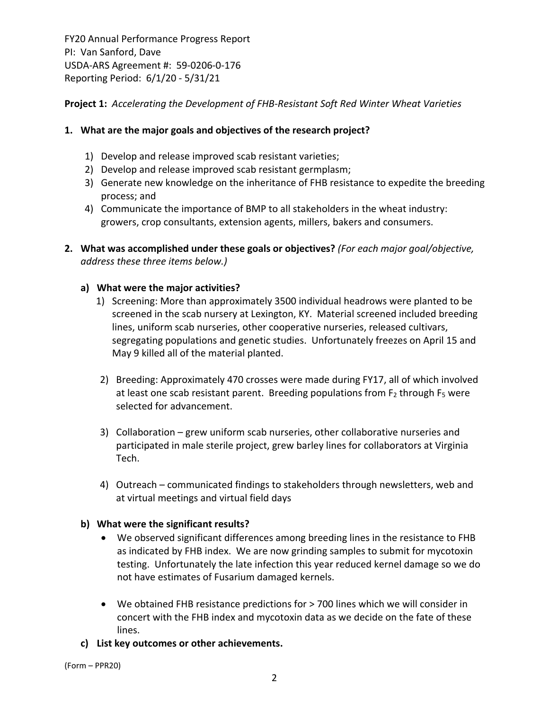**Project 1:** *Accelerating the Development of FHB‐Resistant Soft Red Winter Wheat Varieties*

#### **1. What are the major goals and objectives of the research project?**

- 1) Develop and release improved scab resistant varieties;
- 2) Develop and release improved scab resistant germplasm;
- 3) Generate new knowledge on the inheritance of FHB resistance to expedite the breeding process; and
- 4) Communicate the importance of BMP to all stakeholders in the wheat industry: growers, crop consultants, extension agents, millers, bakers and consumers.
- **2. What was accomplished under these goals or objectives?** *(For each major goal/objective, address these three items below.)*

## **a) What were the major activities?**

- 1) Screening: More than approximately 3500 individual headrows were planted to be screened in the scab nursery at Lexington, KY. Material screened included breeding lines, uniform scab nurseries, other cooperative nurseries, released cultivars, segregating populations and genetic studies. Unfortunately freezes on April 15 and May 9 killed all of the material planted.
- 2) Breeding: Approximately 470 crosses were made during FY17, all of which involved at least one scab resistant parent. Breeding populations from  $F_2$  through  $F_5$  were selected for advancement.
- 3) Collaboration grew uniform scab nurseries, other collaborative nurseries and participated in male sterile project, grew barley lines for collaborators at Virginia Tech.
- 4) Outreach communicated findings to stakeholders through newsletters, web and at virtual meetings and virtual field days

## **b) What were the significant results?**

- We observed significant differences among breeding lines in the resistance to FHB as indicated by FHB index. We are now grinding samples to submit for mycotoxin testing. Unfortunately the late infection this year reduced kernel damage so we do not have estimates of Fusarium damaged kernels.
- We obtained FHB resistance predictions for > 700 lines which we will consider in concert with the FHB index and mycotoxin data as we decide on the fate of these lines.
- **c) List key outcomes or other achievements.**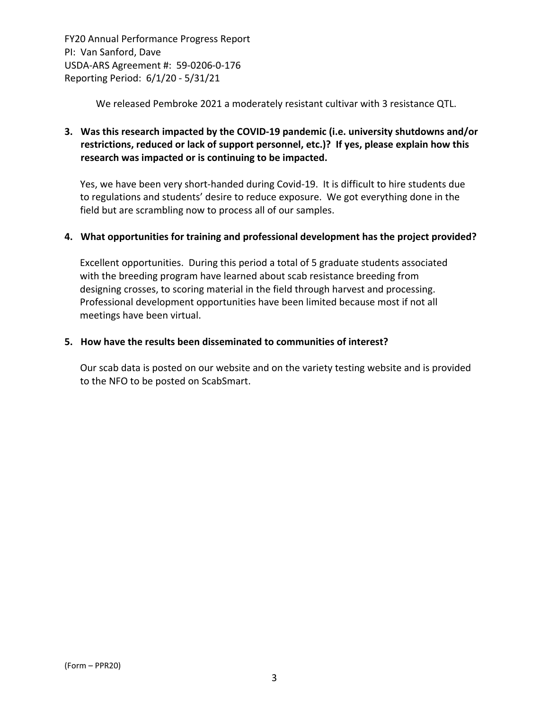We released Pembroke 2021 a moderately resistant cultivar with 3 resistance QTL.

## **3. Was this research impacted by the COVID‐19 pandemic (i.e. university shutdowns and/or restrictions, reduced or lack of support personnel, etc.)? If yes, please explain how this research was impacted or is continuing to be impacted.**

Yes, we have been very short‐handed during Covid‐19. It is difficult to hire students due to regulations and students' desire to reduce exposure. We got everything done in the field but are scrambling now to process all of our samples.

#### **4. What opportunities for training and professional development has the project provided?**

Excellent opportunities. During this period a total of 5 graduate students associated with the breeding program have learned about scab resistance breeding from designing crosses, to scoring material in the field through harvest and processing. Professional development opportunities have been limited because most if not all meetings have been virtual.

#### **5. How have the results been disseminated to communities of interest?**

Our scab data is posted on our website and on the variety testing website and is provided to the NFO to be posted on ScabSmart.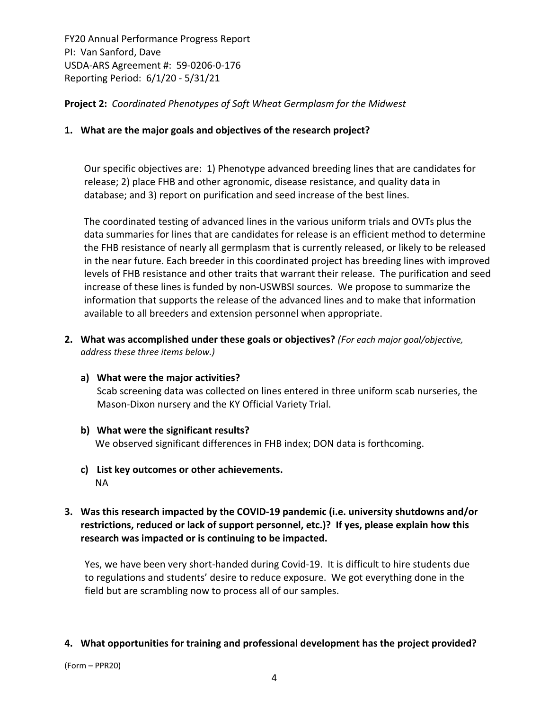**Project 2:** *Coordinated Phenotypes of Soft Wheat Germplasm for the Midwest*

## **1. What are the major goals and objectives of the research project?**

Our specific objectives are: 1) Phenotype advanced breeding lines that are candidates for release; 2) place FHB and other agronomic, disease resistance, and quality data in database; and 3) report on purification and seed increase of the best lines.

The coordinated testing of advanced lines in the various uniform trials and OVTs plus the data summaries for lines that are candidates for release is an efficient method to determine the FHB resistance of nearly all germplasm that is currently released, or likely to be released in the near future. Each breeder in this coordinated project has breeding lines with improved levels of FHB resistance and other traits that warrant their release. The purification and seed increase of these lines is funded by non‐USWBSI sources. We propose to summarize the information that supports the release of the advanced lines and to make that information available to all breeders and extension personnel when appropriate.

- **2. What was accomplished under these goals or objectives?** *(For each major goal/objective, address these three items below.)*
	- **a) What were the major activities?**

Scab screening data was collected on lines entered in three uniform scab nurseries, the Mason‐Dixon nursery and the KY Official Variety Trial.

- **b) What were the significant results?** We observed significant differences in FHB index; DON data is forthcoming.
- **c) List key outcomes or other achievements.**  NA

## **3. Was this research impacted by the COVID‐19 pandemic (i.e. university shutdowns and/or restrictions, reduced or lack of support personnel, etc.)? If yes, please explain how this research was impacted or is continuing to be impacted.**

Yes, we have been very short‐handed during Covid‐19. It is difficult to hire students due to regulations and students' desire to reduce exposure. We got everything done in the field but are scrambling now to process all of our samples.

#### **4. What opportunities for training and professional development has the project provided?**

(Form – PPR20)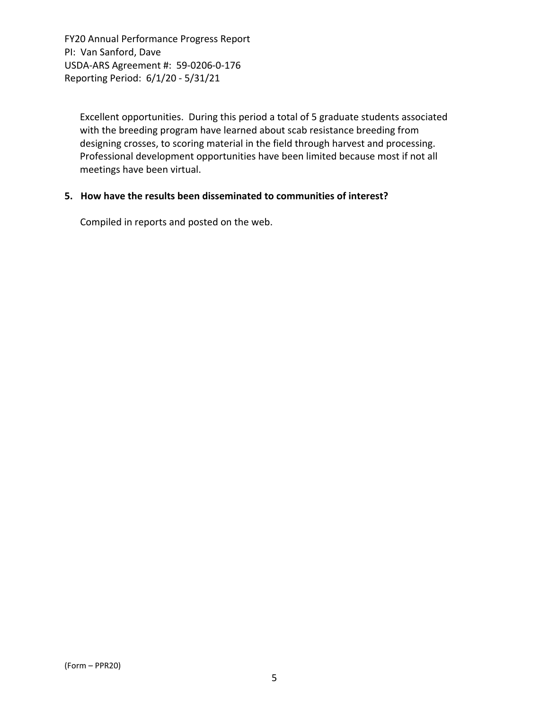Excellent opportunities. During this period a total of 5 graduate students associated with the breeding program have learned about scab resistance breeding from designing crosses, to scoring material in the field through harvest and processing. Professional development opportunities have been limited because most if not all meetings have been virtual.

#### **5. How have the results been disseminated to communities of interest?**

Compiled in reports and posted on the web.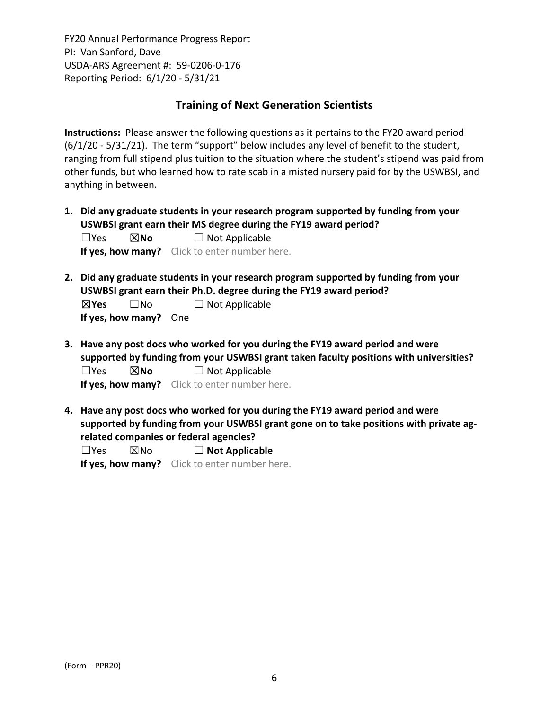## **Training of Next Generation Scientists**

**Instructions:** Please answer the following questions as it pertains to the FY20 award period (6/1/20 ‐ 5/31/21). The term "support" below includes any level of benefit to the student, ranging from full stipend plus tuition to the situation where the student's stipend was paid from other funds, but who learned how to rate scab in a misted nursery paid for by the USWBSI, and anything in between.

**1. Did any graduate students in your research program supported by funding from your USWBSI grant earn their MS degree during the FY19 award period?** ☐Yes ☒**No** ☐ Not Applicable

**If yes, how many?** Click to enter number here.

**2. Did any graduate students in your research program supported by funding from your USWBSI grant earn their Ph.D. degree during the FY19 award period?**

| $\boxtimes$ Yes | $\square$ No          | $\Box$ Not Applicable |
|-----------------|-----------------------|-----------------------|
|                 | If yes, how many? One |                       |

- **3. Have any post docs who worked for you during the FY19 award period and were supported by funding from your USWBSI grant taken faculty positions with universities?** ☐Yes ☒**No** ☐ Not Applicable **If yes, how many?** Click to enter number here.
- **4. Have any post docs who worked for you during the FY19 award period and were supported by funding from your USWBSI grant gone on to take positions with private ag‐ related companies or federal agencies?**

| $\Box$ Yes | $\boxtimes$ No | $\Box$ Not Applicable |
|------------|----------------|-----------------------|
|------------|----------------|-----------------------|

**If yes, how many?** Click to enter number here.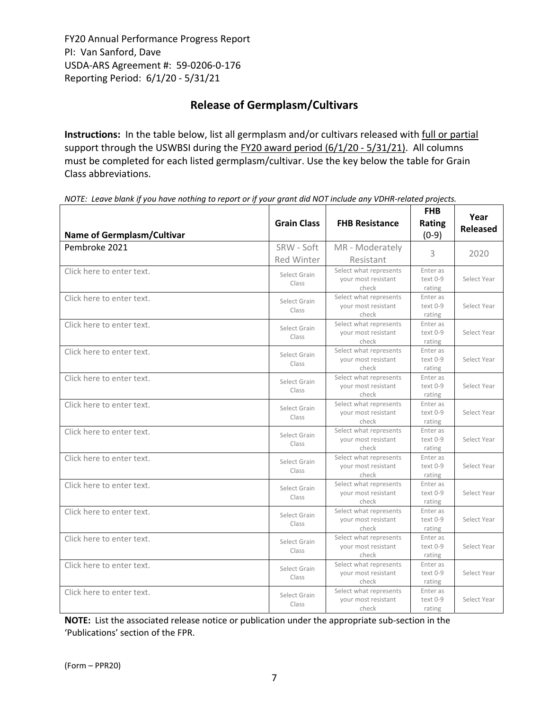# **Release of Germplasm/Cultivars**

**Instructions:** In the table below, list all germplasm and/or cultivars released with full or partial support through the USWBSI during the FY20 award period (6/1/20 - 5/31/21). All columns must be completed for each listed germplasm/cultivar. Use the key below the table for Grain Class abbreviations. 

| <b>Name of Germplasm/Cultivar</b> | <b>Grain Class</b>              | <b>FHB Resistance</b>                                  | <b>FHB</b><br>Rating<br>$(0-9)$ | Year<br><b>Released</b> |
|-----------------------------------|---------------------------------|--------------------------------------------------------|---------------------------------|-------------------------|
| Pembroke 2021                     | SRW - Soft<br><b>Red Winter</b> | MR - Moderately<br>Resistant                           | 3                               | 2020                    |
| Click here to enter text.         | Select Grain<br>Class           | Select what represents<br>your most resistant<br>check | Enter as<br>text 0-9<br>rating  | Select Year             |
| Click here to enter text.         | Select Grain<br>Class           | Select what represents<br>your most resistant<br>check | Enter as<br>text 0-9<br>rating  | Select Year             |
| Click here to enter text.         | Select Grain<br>Class           | Select what represents<br>your most resistant<br>check | Enter as<br>text 0-9<br>rating  | Select Year             |
| Click here to enter text.         | Select Grain<br>Class           | Select what represents<br>your most resistant<br>check | Enter as<br>text 0-9<br>rating  | Select Year             |
| Click here to enter text.         | Select Grain<br>Class           | Select what represents<br>your most resistant<br>check | Enter as<br>text 0-9<br>rating  | Select Year             |
| Click here to enter text.         | Select Grain<br>Class           | Select what represents<br>your most resistant<br>check | Enter as<br>text 0-9<br>rating  | Select Year             |
| Click here to enter text.         | Select Grain<br>Class           | Select what represents<br>your most resistant<br>check | Enter as<br>text 0-9<br>rating  | Select Year             |
| Click here to enter text.         | Select Grain<br>Class           | Select what represents<br>your most resistant<br>check | Enter as<br>text 0-9<br>rating  | Select Year             |
| Click here to enter text.         | Select Grain<br>Class           | Select what represents<br>your most resistant<br>check | Enter as<br>text 0-9<br>rating  | Select Year             |
| Click here to enter text.         | Select Grain<br>Class           | Select what represents<br>vour most resistant<br>check | Enter as<br>text 0-9<br>rating  | Select Year             |
| Click here to enter text.         | Select Grain<br>Class           | Select what represents<br>your most resistant<br>check | Enter as<br>text 0-9<br>rating  | Select Year             |
| Click here to enter text.         | Select Grain<br>Class           | Select what represents<br>your most resistant<br>check | Enter as<br>text 0-9<br>rating  | Select Year             |
| Click here to enter text.         | Select Grain<br>Class           | Select what represents<br>your most resistant<br>check | Enter as<br>text 0-9<br>rating  | Select Year             |

NOTE: Leave blank if you have nothing to report or if your grant did NOT include any VDHR-related projects.

**NOTE:** List the associated release notice or publication under the appropriate sub-section in the 'Publications' section of the FPR.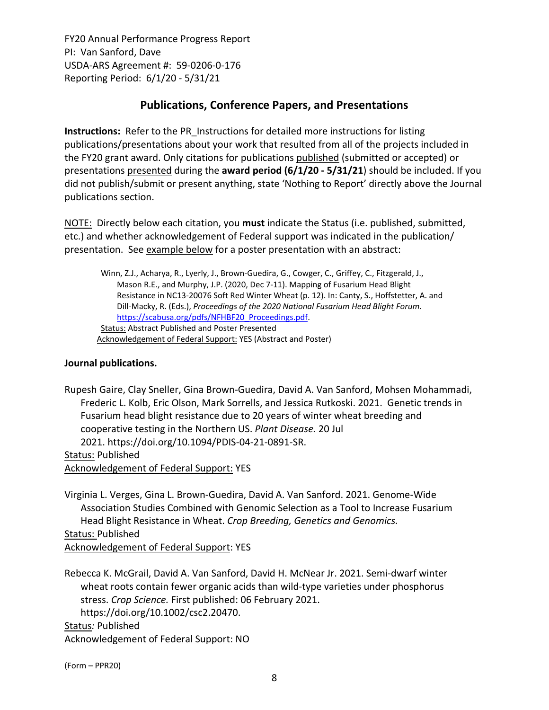## **Publications, Conference Papers, and Presentations**

**Instructions:** Refer to the PR\_Instructions for detailed more instructions for listing publications/presentations about your work that resulted from all of the projects included in the FY20 grant award. Only citations for publications published (submitted or accepted) or presentations presented during the **award period (6/1/20 ‐ 5/31/21**) should be included. If you did not publish/submit or present anything, state 'Nothing to Report' directly above the Journal publications section.

NOTE: Directly below each citation, you **must** indicate the Status (i.e. published, submitted, etc.) and whether acknowledgement of Federal support was indicated in the publication/ presentation. See example below for a poster presentation with an abstract:

Winn, Z.J., Acharya, R., Lyerly, J., Brown‐Guedira, G., Cowger, C., Griffey, C., Fitzgerald, J., Mason R.E., and Murphy, J.P. (2020, Dec 7‐11). Mapping of Fusarium Head Blight Resistance in NC13‐20076 Soft Red Winter Wheat (p. 12). In: Canty, S., Hoffstetter, A. and Dill‐Macky, R. (Eds.), *Proceedings of the 2020 National Fusarium Head Blight Forum*. https://scabusa.org/pdfs/NFHBF20\_Proceedings.pdf. Status: Abstract Published and Poster Presented Acknowledgement of Federal Support: YES (Abstract and Poster)

#### **Journal publications.**

Rupesh Gaire, Clay Sneller, Gina Brown‐Guedira, David A. Van Sanford, Mohsen Mohammadi, Frederic L. Kolb, Eric Olson, Mark Sorrells, and Jessica Rutkoski. 2021. Genetic trends in Fusarium head blight resistance due to 20 years of winter wheat breeding and cooperative testing in the Northern US. *Plant Disease.* 20 Jul 2021. https://doi.org/10.1094/PDIS‐04‐21‐0891‐SR. Status: Published Acknowledgement of Federal Support: YES

Virginia L. Verges, Gina L. Brown‐Guedira, David A. Van Sanford. 2021. Genome‐Wide Association Studies Combined with Genomic Selection as a Tool to Increase Fusarium Head Blight Resistance in Wheat. *Crop Breeding, Genetics and Genomics.* Status: Published Acknowledgement of Federal Support: YES

Rebecca K. McGrail, David A. Van Sanford, David H. McNear Jr. 2021. Semi‐dwarf winter wheat roots contain fewer organic acids than wild-type varieties under phosphorus stress. *Crop Science.* First published: 06 February 2021. https://doi.org/10.1002/csc2.20470. Status*:* Published Acknowledgement of Federal Support: NO

(Form – PPR20)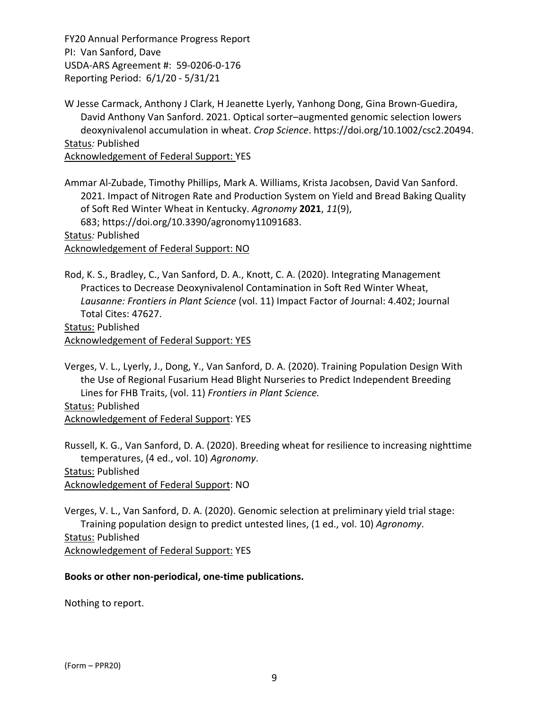W Jesse Carmack, Anthony J Clark, H Jeanette Lyerly, Yanhong Dong, Gina Brown‐Guedira, David Anthony Van Sanford. 2021. Optical sorter–augmented genomic selection lowers deoxynivalenol accumulation in wheat. *Crop Science*. https://doi.org/10.1002/csc2.20494. Status*:* Published

Acknowledgement of Federal Support: YES

Ammar Al‐Zubade, Timothy Phillips, Mark A. Williams, Krista Jacobsen, David Van Sanford. 2021. Impact of Nitrogen Rate and Production System on Yield and Bread Baking Quality of Soft Red Winter Wheat in Kentucky. *Agronomy* **2021**, *11*(9), 683; https://doi.org/10.3390/agronomy11091683. Status*:* Published Acknowledgement of Federal Support: NO

Rod, K. S., Bradley, C., Van Sanford, D. A., Knott, C. A. (2020). Integrating Management Practices to Decrease Deoxynivalenol Contamination in Soft Red Winter Wheat, *Lausanne: Frontiers in Plant Science* (vol. 11) Impact Factor of Journal: 4.402; Journal Total Cites: 47627.

Status: Published Acknowledgement of Federal Support: YES

Verges, V. L., Lyerly, J., Dong, Y., Van Sanford, D. A. (2020). Training Population Design With the Use of Regional Fusarium Head Blight Nurseries to Predict Independent Breeding Lines for FHB Traits, (vol. 11) *Frontiers in Plant Science.*

Status: Published Acknowledgement of Federal Support: YES

Russell, K. G., Van Sanford, D. A. (2020). Breeding wheat for resilience to increasing nighttime temperatures, (4 ed., vol. 10) *Agronomy*. Status: Published Acknowledgement of Federal Support: NO

Verges, V. L., Van Sanford, D. A. (2020). Genomic selection at preliminary yield trial stage: Training population design to predict untested lines, (1 ed., vol. 10) *Agronomy*. Status: Published Acknowledgement of Federal Support: YES

#### **Books or other non‐periodical, one‐time publications.**

Nothing to report.